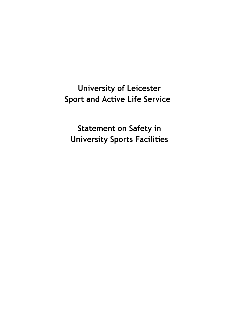**University of Leicester Sport and Active Life Service**

**Statement on Safety in University Sports Facilities**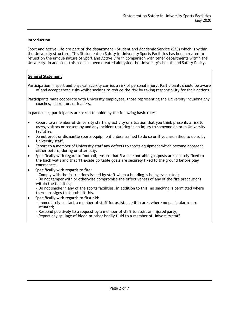# **Introduction**

Sport and Active Life are part of the department – Student and Academic Service (SAS) which is within the University structure. This Statement on Safety in University Sports Facilities has been created to reflect on the unique nature of Sport and Active Life in comparison with other departments within the University. In addition, this has also been created alongside the University's health and Safety Policy.

# **General Statement**

Participation in sport and physical activity carries a risk of personal injury. Participants should be aware of and accept these risks whilst seeking to reduce the risk by taking responsibility for their actions.

Participants must cooperate with University employees, those representing the University including any coaches, instructors or leaders.

In particular, participants are asked to abide by the following basic rules:

- Report to a member of University staff any activity or situation that you think presents a risk to users, visitors or passers-by and any incident resulting in an injury to someone on or in University facilities.
- Do not erect or dismantle sports equipment unless trained to do so or if you are asked to do so by University staff.
- Report to a member of University staff any defects to sports equipment which become apparent either before, during or after play.
- Specifically with regard to football, ensure that 5-a-side portable goalposts are securely fixed to the back walls and that 11-a-side portable goals are securely fixed to the ground before play commences.
- Specifically with regards to fire:
	- Comply with the instructions issued by staff when a building is being evacuated;
	- Do not tamper with or otherwise compromise the effectiveness of any of the fire precautions within the facilities;
	- Do not smoke in any of the sports facilities. In addition to this, no smoking is permitted where there are signs that prohibit this.
- Specifically with regards to first aid:
	- Immediately contact a member of staff for assistance if in area where no panic alarms are situated;
	- Respond positively to a request by a member of staff to assist an injured party;
	- Report any spillage of blood or other bodily fluid to a member of University staff.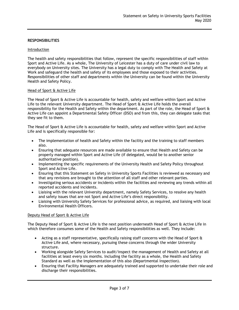## **RESPONSIBILITIES**

## Introduction

The health and safety responsibilities that follow, represent the specific responsibilities of staff within Sport and Active Life. As a whole, The University of Leicester has a duty of care under civil law to everybody on University sites. The University has a legal duty to comply with The Health and Safety at Work and safeguard the health and safety of its employees and those exposed to their activities. Responsibilities of other staff and departments within the University can be found within the University Health and Safety Policy.

### Head of Sport & Active Life

The Head of Sport & Active Life is accountable for health, safety and welfare within Sport and Active Life to the relevant University department. The Head of Sport & Active Life holds the overall responsibility for the Health and Safety within the department. As part of the role, the Head of Sport & Active Life can appoint a Departmental Safety Officer (DSO) and from this, they can delegate tasks that they see fit to them.

The Head of Sport & Active Life is accountable for health, safety and welfare within Sport and Active Life and is specifically responsible for:

- The implementation of health and Safety within the facility and the training to staff members also.
- Ensuring that adequate resources are made available to ensure that Health and Safety can be properly managed within Sport and Active Life (if delegated, would be to another senior authoritative position).
- Implementing the specific requirements of the University Health and Safety Policy throughout Sport and Active Life.
- Ensuring that this Statement on Safety in University Sports Facilities is reviewed as necessary and that any revisions are brought to the attention of all staff and other relevant parties.
- Investigating serious accidents or incidents within the facilities and reviewing any trends within all reported accidents and incidents.
- Liaising with the relevant University department, namely Safety Services, to resolve any health and safety issues that are not Sport and Active Life's direct responsibility.
- Liaising with University Safety Services for professional advice, as required, and liaising with local Environmental Health Officers.

### Deputy Head of Sport & Active Life

The Deputy Head of Sport & Active Life is the next position underneath Head of Sport & Active Life in which therefore consumes some of the Health and Safety responsibilities as well. They include:

- Acting as a staff representative, specifically raising staff concerns with the Head of Sport & Active Life and, where necessary, pursuing these concerns through the wider University structure.
- Working alongside Safety Services to audit/inspect the management of Health and Safety at all facilities at least every six months. Including the facility as a whole, the Health and Safety Standard as well as the implementation of this also (Departmental Inspection).
- Ensuring that Facility Managers are adequately trained and supported to undertake their role and discharge their responsibilities.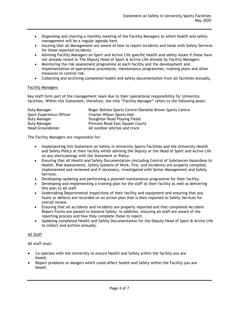- Organising and chairing a monthly meeting of the Facility Managers at which health and safety management will be a regular agenda item.
- Insuring that all Management are aware of how to report incidents and liaise with Safety Services for those reported incidents.
- Advising Facility Managers on Sport and Active Life specific health and safety issues if these have not already raised to The Deputy Head of Sport & Active Life already by Facility Managers.
- Monitoring the risk assessment programme at each facility and the development and implementation of operational procedures, maintenance programmes, training plans and other measures to control risk.
- Collecting and archiving completed health and safety documentation from all facilities annually.

# Facility Managers

Key staff form part of the management team due to their operational responsibility for University facilities. Within this Statement, therefore, the title "Facility Manager" refers to the following posts:

| Duty Manager             | Roger Bettles Sports Centre/Danielle Brown Sports Centre |
|--------------------------|----------------------------------------------------------|
| Sport Experience Officer | <b>Charles Wilson Sports Hall</b>                        |
| Duty Manager             | Stoughton Road Playing Fields                            |
| Duty Manager             | Princess Road East Squash Courts                         |
| Head Groundsman          | All outdoor pitches and track                            |

The Facility Managers are responsible for:

- Implementing this Statement on Safety in University Sports Facilities and the University Health and Safety Policy at their facility whilst advising the Deputy or the Head of Sport and Active Life on any shortcomings with the Statement or Policy.
- Ensuring that all Health and Safety Documentation (including Control of Substances Hazardous to Health, Risk Assessments, Safety Systems of Work, Fire, and Incidents) are properly compiled, implemented and reviewed and if necessary, investigated with Senior Management and Safety Services.
- Developing/updating and performing a planned maintenance programme for their facility.
- Developing and implementing a training plan for the staff at their facility as well as delivering this plan to all staff.
- Undertaking Departmental Inspections of their facility and equipment and ensuring that any faults or defects are recorded on an action plan that is then reported to Safety Services for overall review.
- Ensuring that all accidents and incidents are properly reported and that completed Accident Report Forms are passed to General Safety. In addition, ensuring all staff are aware of the reporting process and how they complete these to report.
- Updating completed Health and Safety Documentation for the Deputy Head of Sport & Active Life to collect and archive annually.

# All Staff

All staff must:

- Co-operate with the University to ensure Health and Safety within the facility you are based;
- Report problems or dangers which could affect health and Safety within the Facility you are based;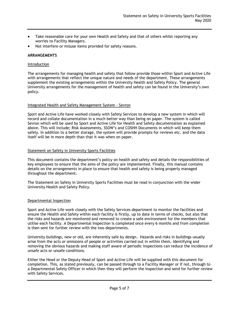- Take reasonable care for your own Health and Safety and that of others whilst reporting any worries to Facility Managers.
- Not interfere or misuse items provided for safety reasons.

# **ARRANGEMENTS**

## Introduction

The arrangements for managing health and safety that follow provide those within Sport and Active Life with arrangements that reflect the unique nature and needs of the department. These arrangements supplement the existing arrangements within the University Health and Safety Policy. The general University arrangements for the management of health and safety can be found in the University's own policy.

### Integrated Health and Safety Management System - Sevron

Sport and Active Life have worked closely with Safety Services to develop a new system in which will record and collate documentation in a much better way than being on paper. The system is called Sevron which will be used by Sport and Active Life for Health and Safety documentation as explained above. This will include; Risk Assessments, SSOW's and COSHH Documents in which will keep them safely. In addition to a better storage, the system will provide prompts for reviews etc. and the data itself will be in more depth than that it was when on paper.

## **Statement on Safety in University Sports Facilities**

This document contains the department's policy on health and safety and details the responsibilities of key employees to ensure that the aims of the policy are implemented. Finally, this manual contains details on the arrangements in place to ensure that health and safety is being properly managed throughout the department.

The Statement on Safety in University Sports Facilities must be read in conjunction with the wider University Health and Safety Policy.

### Departmental Inspection

Sport and Active Life work closely with the Safety Services department to monitor the facilities and ensure the Health and Safety within each facility is firstly, up to date in terms of checks, but also that the risks and hazards are monitored and removed to create a safe environment for the members that utilise each facility. A Departmental Inspection is completed once every 6 months and from completion is then sent for further review with the two departments.

University buildings, new or old, are inherently safe by design. Hazards and risks in buildings usually arise from the acts or omissions of people or activities carried out in within them. Identifying and removing the obvious hazards and making staff aware of periodic inspections can reduce the incidence of unsafe acts or unsafe conditions.

Either the Head or the Deputy Head of Sport and Active Life will be supplied with this document for completion. This, as stated previously, can be passed through to a Facility Manager or if not, through to a Departmental Safety Officer in which then they will perform the inspection and send for further review with Safety Services.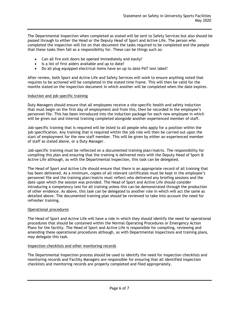The Departmental Inspection when completed as stated will be sent to Safety Services but also should be passed through to either the Head or the Deputy Head of Sport and Active Life. The person who completed the inspection will list on that document the tasks required to be completed and the people that these tasks then fall as a responsibility for. These can be things such as:

- Can all fire exit doors be opened immediately and easily?
- Is a list of first aiders available and up to date?
- Do all plug equipped electrical items have an up to date PAT test label?

After review, both Sport and Active Life and Safety Services will work to ensure anything noted that requires to be actioned will be completed in the stated time frame. This will then be valid for the months stated on the inspection document in which another will be completed when the date expires.

## Induction and job specific training

Duty Managers should ensure that all employees receive a site-specific health and safety induction that must begin on the first day of employment and from this, then be recorded in the employee's personnel file. This has been introduced into the induction package for each new employee in which will be given out and internal training completed alongside another experienced member of staff.

Job-specific training that is required will be listed to all people who apply for a position within the job specification. Any training that is required within the job role will then be carried out upon the start of employment for the new staff member. This will be given by either an experienced member of staff as stated above, or a Duty Manager.

Job-specific training must be reflected on a documented training plan/matrix. The responsibility for compiling this plan and ensuring that the training is delivered rests with the Deputy Head of Sport & Active Life although, as with the Departmental Inspection, this task can be delegated.

The Head of Sport and Active Life should ensure that there is an appropriate record of all training that has been delivered. As a minimum, copies of all relevant certificates must be kept in the employee's personnel file and the training plan/matrix must reflect who delivered any briefing sessions and the date upon which the session was provided. The Head of Sport and Active Life should consider introducing a competency test for all training unless this can be demonstrated through the production of other evidence. As above, this task can be delegated to another role in which will act the same as detailed above. The documented training plan should be reviewed to take into account the need for refresher training.

### Operational procedures

The Head of Sport and Active Life will have a role in which they should identify the need for operational procedures that should be contained within the Normal Operating Procedures or Emergency Action Plans for the facility. The Head of Sport and Active Life is responsible for compiling, reviewing and amending these operational procedures although, as with Departmental Inspections and training plans, may delegate this task.

### Inspection checklists and other monitoring records

The Departmental Inspection process should be used to identify the need for inspection checklists and monitoring records and Facility Managers are responsible for ensuring that all identified inspection checklists and monitoring records are properly completed and filed appropriately.